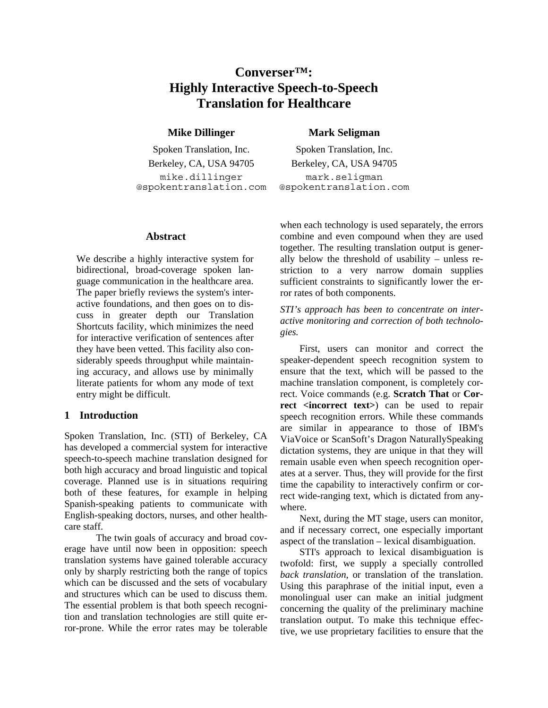# **Converser™: Highly Interactive Speech-to-Speech Translation for Healthcare**

Spoken Translation, Inc. Spoken Translation, Inc. Berkeley, CA, USA 94705 Berkeley, CA, USA 94705 mike.dillinger @spokentranslation.com

## **Mike Dillinger** Mark Seligman

mark.seligman @spokentranslation.com

#### **Abstract**

We describe a highly interactive system for bidirectional, broad-coverage spoken language communication in the healthcare area. The paper briefly reviews the system's interactive foundations, and then goes on to discuss in greater depth our Translation Shortcuts facility, which minimizes the need for interactive verification of sentences after they have been vetted. This facility also considerably speeds throughput while maintaining accuracy, and allows use by minimally literate patients for whom any mode of text entry might be difficult.

# **1 Introduction**

Spoken Translation, Inc. (STI) of Berkeley, CA has developed a commercial system for interactive speech-to-speech machine translation designed for both high accuracy and broad linguistic and topical coverage. Planned use is in situations requiring both of these features, for example in helping Spanish-speaking patients to communicate with English-speaking doctors, nurses, and other healthcare staff.

The twin goals of accuracy and broad coverage have until now been in opposition: speech translation systems have gained tolerable accuracy only by sharply restricting both the range of topics which can be discussed and the sets of vocabulary and structures which can be used to discuss them. The essential problem is that both speech recognition and translation technologies are still quite error-prone. While the error rates may be tolerable when each technology is used separately, the errors combine and even compound when they are used together. The resulting translation output is generally below the threshold of usability – unless restriction to a very narrow domain supplies sufficient constraints to significantly lower the error rates of both components.

*STI's approach has been to concentrate on interactive monitoring and correction of both technologies.*

First, users can monitor and correct the speaker-dependent speech recognition system to ensure that the text, which will be passed to the machine translation component, is completely correct. Voice commands (e.g. **Scratch That** or **Correct <incorrect text>**) can be used to repair speech recognition errors. While these commands are similar in appearance to those of IBM's ViaVoice or ScanSoft's Dragon NaturallySpeaking dictation systems, they are unique in that they will remain usable even when speech recognition operates at a server. Thus, they will provide for the first time the capability to interactively confirm or correct wide-ranging text, which is dictated from anywhere.

Next, during the MT stage, users can monitor, and if necessary correct, one especially important aspect of the translation – lexical disambiguation.

STI's approach to lexical disambiguation is twofold: first, we supply a specially controlled *back translation*, or translation of the translation. Using this paraphrase of the initial input, even a monolingual user can make an initial judgment concerning the quality of the preliminary machine translation output. To make this technique effective, we use proprietary facilities to ensure that the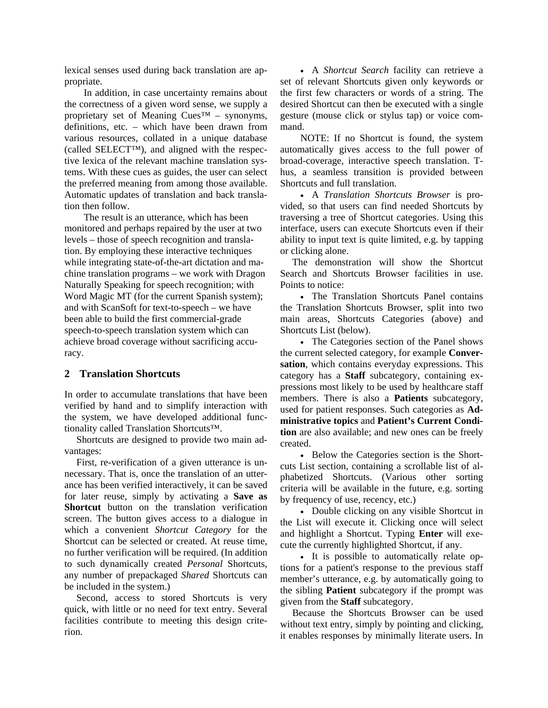lexical senses used during back translation are appropriate.

In addition, in case uncertainty remains about the correctness of a given word sense, we supply a proprietary set of Meaning  $Cues^{TM}$  – synonyms, definitions, etc. – which have been drawn from various resources, collated in a unique database (called SELECT™), and aligned with the respective lexica of the relevant machine translation systems. With these cues as guides, the user can select the preferred meaning from among those available. Automatic updates of translation and back translation then follow.

The result is an utterance, which has been monitored and perhaps repaired by the user at two levels – those of speech recognition and translation. By employing these interactive techniques while integrating state-of-the-art dictation and machine translation programs – we work with Dragon Naturally Speaking for speech recognition; with Word Magic MT (for the current Spanish system); and with ScanSoft for text-to-speech – we have been able to build the first commercial-grade speech-to-speech translation system which can achieve broad coverage without sacrificing accuracy.

#### **2 Translation Shortcuts**

In order to accumulate translations that have been verified by hand and to simplify interaction with the system, we have developed additional functionality called Translation Shortcuts™.

Shortcuts are designed to provide two main advantages:

First, re-verification of a given utterance is unnecessary. That is, once the translation of an utterance has been verified interactively, it can be saved for later reuse, simply by activating a **Save as Shortcut** button on the translation verification screen. The button gives access to a dialogue in which a convenient *Shortcut Category* for the Shortcut can be selected or created. At reuse time, no further verification will be required. (In addition to such dynamically created *Personal* Shortcuts, any number of prepackaged *Shared* Shortcuts can be included in the system.)

Second, access to stored Shortcuts is very quick, with little or no need for text entry. Several facilities contribute to meeting this design criterion.

• A *Shortcut Search* facility can retrieve a set of relevant Shortcuts given only keywords or the first few characters or words of a string. The desired Shortcut can then be executed with a single gesture (mouse click or stylus tap) or voice command.

NOTE: If no Shortcut is found, the system automatically gives access to the full power of broad-coverage, interactive speech translation. Thus, a seamless transition is provided between Shortcuts and full translation.

• A *Translation Shortcuts Browser* is provided, so that users can find needed Shortcuts by traversing a tree of Shortcut categories. Using this interface, users can execute Shortcuts even if their ability to input text is quite limited, e.g. by tapping or clicking alone.

The demonstration will show the Shortcut Search and Shortcuts Browser facilities in use. Points to notice:

• The Translation Shortcuts Panel contains the Translation Shortcuts Browser, split into two main areas, Shortcuts Categories (above) and Shortcuts List (below).

• The Categories section of the Panel shows the current selected category, for example **Conversation**, which contains everyday expressions. This category has a **Staff** subcategory, containing expressions most likely to be used by healthcare staff members. There is also a **Patients** subcategory, used for patient responses. Such categories as **Administrative topics** and **Patient's Current Condition** are also available; and new ones can be freely created.

• Below the Categories section is the Shortcuts List section, containing a scrollable list of alphabetized Shortcuts. (Various other sorting criteria will be available in the future, e.g. sorting by frequency of use, recency, etc.)

• Double clicking on any visible Shortcut in the List will execute it. Clicking once will select and highlight a Shortcut. Typing **Enter** will execute the currently highlighted Shortcut, if any.

• It is possible to automatically relate options for a patient's response to the previous staff member's utterance, e.g. by automatically going to the sibling **Patient** subcategory if the prompt was given from the **Staff** subcategory.

Because the Shortcuts Browser can be used without text entry, simply by pointing and clicking, it enables responses by minimally literate users. In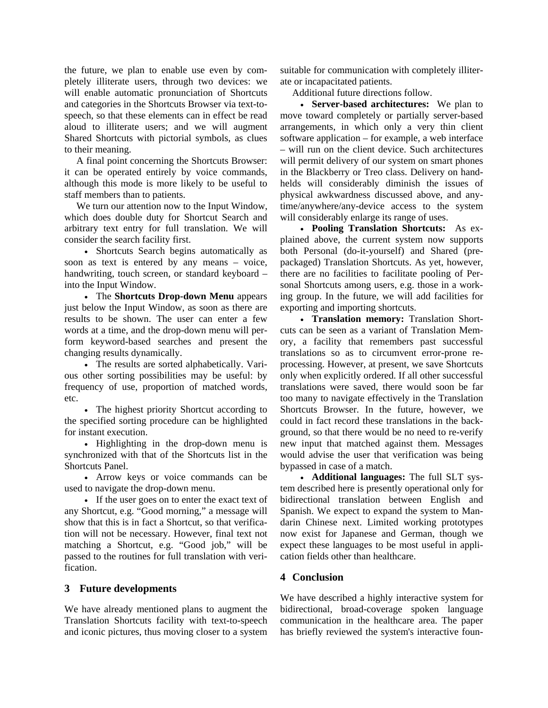the future, we plan to enable use even by completely illiterate users, through two devices: we will enable automatic pronunciation of Shortcuts and categories in the Shortcuts Browser via text-tospeech, so that these elements can in effect be read aloud to illiterate users; and we will augment Shared Shortcuts with pictorial symbols, as clues to their meaning.

A final point concerning the Shortcuts Browser: it can be operated entirely by voice commands, although this mode is more likely to be useful to staff members than to patients.

We turn our attention now to the Input Window, which does double duty for Shortcut Search and arbitrary text entry for full translation. We will consider the search facility first.

• Shortcuts Search begins automatically as soon as text is entered by any means – voice, handwriting, touch screen, or standard keyboard – into the Input Window.

• The **Shortcuts Drop-down Menu** appears just below the Input Window, as soon as there are results to be shown. The user can enter a few words at a time, and the drop-down menu will perform keyword-based searches and present the changing results dynamically.

• The results are sorted alphabetically. Various other sorting possibilities may be useful: by frequency of use, proportion of matched words, etc.

• The highest priority Shortcut according to the specified sorting procedure can be highlighted for instant execution.

• Highlighting in the drop-down menu is synchronized with that of the Shortcuts list in the Shortcuts Panel.

• Arrow keys or voice commands can be used to navigate the drop-down menu.

• If the user goes on to enter the exact text of any Shortcut, e.g. "Good morning," a message will show that this is in fact a Shortcut, so that verification will not be necessary. However, final text not matching a Shortcut, e.g. "Good job," will be passed to the routines for full translation with verification.

### **3 Future developments**

We have already mentioned plans to augment the Translation Shortcuts facility with text-to-speech and iconic pictures, thus moving closer to a system

suitable for communication with completely illiterate or incapacitated patients.

Additional future directions follow.

• **Server-based architectures:** We plan to move toward completely or partially server-based arrangements, in which only a very thin client software application – for example, a web interface – will run on the client device. Such architectures will permit delivery of our system on smart phones in the Blackberry or Treo class. Delivery on handhelds will considerably diminish the issues of physical awkwardness discussed above, and anytime/anywhere/any-device access to the system will considerably enlarge its range of uses.

• **Pooling Translation Shortcuts:** As explained above, the current system now supports both Personal (do-it-yourself) and Shared (prepackaged) Translation Shortcuts. As yet, however, there are no facilities to facilitate pooling of Personal Shortcuts among users, e.g. those in a working group. In the future, we will add facilities for exporting and importing shortcuts.

• **Translation memory:** Translation Shortcuts can be seen as a variant of Translation Memory, a facility that remembers past successful translations so as to circumvent error-prone reprocessing. However, at present, we save Shortcuts only when explicitly ordered. If all other successful translations were saved, there would soon be far too many to navigate effectively in the Translation Shortcuts Browser. In the future, however, we could in fact record these translations in the background, so that there would be no need to re-verify new input that matched against them. Messages would advise the user that verification was being bypassed in case of a match.

• **Additional languages:** The full SLT system described here is presently operational only for bidirectional translation between English and Spanish. We expect to expand the system to Mandarin Chinese next. Limited working prototypes now exist for Japanese and German, though we expect these languages to be most useful in application fields other than healthcare.

# **4 Conclusion**

We have described a highly interactive system for bidirectional, broad-coverage spoken language communication in the healthcare area. The paper has briefly reviewed the system's interactive foun